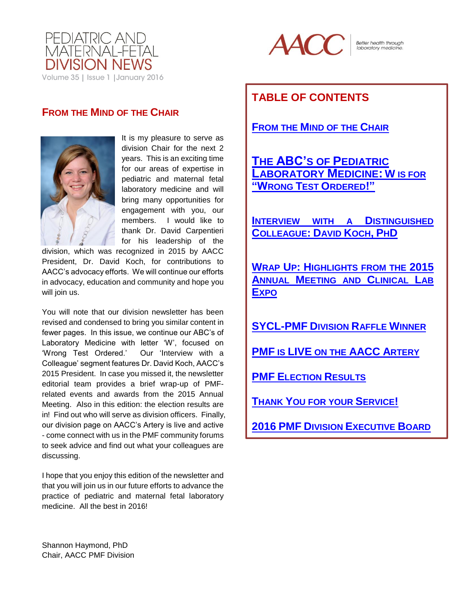



Better health through<br>laboratory medicine.

## <span id="page-0-0"></span>**FROM THE MIND OF THE CHAIR**



It is my pleasure to serve as division Chair for the next 2 years. This is an exciting time for our areas of expertise in pediatric and maternal fetal laboratory medicine and will bring many opportunities for engagement with you, our members. I would like to thank Dr. David Carpentieri for his leadership of the

division, which was recognized in 2015 by AACC President, Dr. David Koch, for contributions to AACC's advocacy efforts. We will continue our efforts in advocacy, education and community and hope you will join us.

You will note that our division newsletter has been revised and condensed to bring you similar content in fewer pages. In this issue, we continue our ABC's of Laboratory Medicine with letter 'W', focused on 'Wrong Test Ordered.' Our 'Interview with a Colleague' segment features Dr. David Koch, AACC's 2015 President. In case you missed it, the newsletter editorial team provides a brief wrap-up of PMFrelated events and awards from the 2015 Annual Meeting. Also in this edition: the election results are in! Find out who will serve as division officers. Finally, our division page on AACC's Artery is live and active - come connect with us in the PMF community forums to seek advice and find out what your colleagues are discussing.

I hope that you enjoy this edition of the newsletter and that you will join us in our future efforts to advance the practice of pediatric and maternal fetal laboratory medicine. All the best in 2016!

# **TABLE OF CONTENTS**

**FROM THE M[IND OF THE](#page-0-0) CHAIR**

**THE ABC'S OF P[EDIATRIC](#page-1-0)  L[ABORATORY](#page-1-0) MEDICINE: W IS FOR "WRONG TEST O[RDERED](#page-1-0)!"**

**I[NTERVIEW WITH A](#page-4-0) DISTINGUISHED C[OLLEAGUE](#page-4-0): DAVID KOCH, PHD**

**WRAP UP: H[IGHLIGHTS FROM THE](#page-5-0) 2015 ANNUAL M[EETING AND](#page-5-0) CLINICAL LAB E[XPO](#page-5-0)**

**[SYCL-PMF](#page-5-1) DIVISION RAFFLE WINNER**

**PMF IS LIVE ON THE [AACC](#page-5-2) ARTERY**

**PMF E[LECTION](#page-6-0) RESULTS**

**THANK Y[OU FOR YOUR](#page-6-1) SERVICE!**

**2016 PMF DIVISION E[XECUTIVE](#page-7-0) BOARD**

Shannon Haymond, PhD Chair, AACC PMF Division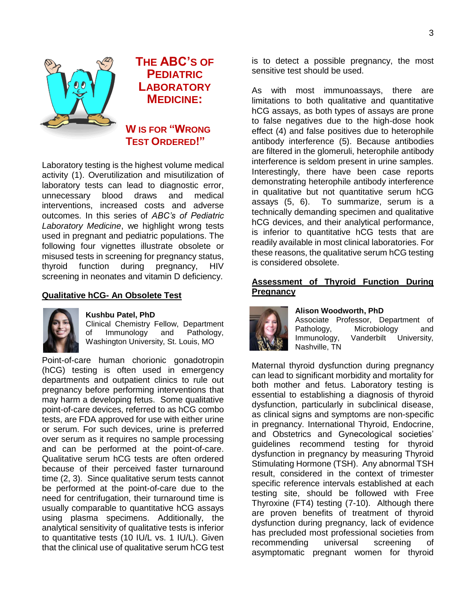3

<span id="page-1-0"></span>

# **THE ABC'S OF PEDIATRIC LABORATORY MEDICINE:**

**W IS FOR "WRONG TEST ORDERED!"**

Laboratory testing is the highest volume medical activity (1). Overutilization and misutilization of laboratory tests can lead to diagnostic error, unnecessary blood draws and medical interventions, increased costs and adverse outcomes. In this series of *ABC's of Pediatric Laboratory Medicine*, we highlight wrong tests used in pregnant and pediatric populations. The following four vignettes illustrate obsolete or misused tests in screening for pregnancy status, thyroid function during pregnancy, HIV screening in neonates and vitamin D deficiency.

### **Qualitative hCG- An Obsolete Test**



#### **Kushbu Patel, PhD**

Clinical Chemistry Fellow, Department of Immunology and Pathology, Washington University, St. Louis, MO

Point-of-care human chorionic gonadotropin (hCG) testing is often used in emergency departments and outpatient clinics to rule out pregnancy before performing interventions that may harm a developing fetus. Some qualitative point-of-care devices, referred to as hCG combo tests, are FDA approved for use with either urine or serum. For such devices, urine is preferred over serum as it requires no sample processing and can be performed at the point-of-care. Qualitative serum hCG tests are often ordered because of their perceived faster turnaround time (2, 3). Since qualitative serum tests cannot be performed at the point-of-care due to the need for centrifugation, their turnaround time is usually comparable to quantitative hCG assays using plasma specimens. Additionally, the analytical sensitivity of qualitative tests is inferior to quantitative tests (10 IU/L vs. 1 IU/L). Given that the clinical use of qualitative serum hCG test

is to detect a possible pregnancy, the most sensitive test should be used.

As with most immunoassays, there are limitations to both qualitative and quantitative hCG assays, as both types of assays are prone to false negatives due to the high-dose hook effect (4) and false positives due to heterophile antibody interference (5). Because antibodies are filtered in the glomeruli, heterophile antibody interference is seldom present in urine samples. Interestingly, there have been case reports demonstrating heterophile antibody interference in qualitative but not quantitative serum hCG assays (5, 6). To summarize, serum is a technically demanding specimen and qualitative hCG devices, and their analytical performance, is inferior to quantitative hCG tests that are readily available in most clinical laboratories. For these reasons, the qualitative serum hCG testing is considered obsolete.

#### **Assessment of Thyroid Function During Pregnancy**



### **Alison Woodworth, PhD**

Associate Professor, Department of Pathology, Microbiology and Immunology, Vanderbilt University, Nashville, TN

Maternal thyroid dysfunction during pregnancy can lead to significant morbidity and mortality for both mother and fetus. Laboratory testing is essential to establishing a diagnosis of thyroid dysfunction, particularly in subclinical disease, as clinical signs and symptoms are non-specific in pregnancy. International Thyroid, Endocrine, and Obstetrics and Gynecological societies' guidelines recommend testing for thyroid dysfunction in pregnancy by measuring Thyroid Stimulating Hormone (TSH). Any abnormal TSH result, considered in the context of trimester specific reference intervals established at each testing site, should be followed with Free Thyroxine (FT4) testing (7-10). Although there are proven benefits of treatment of thyroid dysfunction during pregnancy, lack of evidence has precluded most professional societies from recommending universal screening of asymptomatic pregnant women for thyroid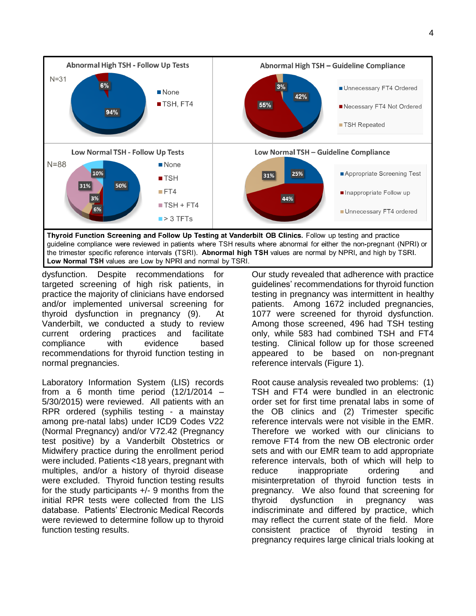

dysfunction. Despite recommendations for targeted screening of high risk patients, in practice the majority of clinicians have endorsed and/or implemented universal screening for thyroid dysfunction in pregnancy (9). At Vanderbilt, we conducted a study to review current ordering practices and facilitate compliance with evidence based recommendations for thyroid function testing in normal pregnancies.

Laboratory Information System (LIS) records from a 6 month time period  $(12/1/2014 -$ 5/30/2015) were reviewed. All patients with an RPR ordered (syphilis testing - a mainstay among pre-natal labs) under ICD9 Codes V22 (Normal Pregnancy) and/or V72.42 (Pregnancy test positive) by a Vanderbilt Obstetrics or Midwifery practice during the enrollment period were included. Patients <18 years, pregnant with multiples, and/or a history of thyroid disease were excluded. Thyroid function testing results for the study participants +/- 9 months from the initial RPR tests were collected from the LIS database. Patients' Electronic Medical Records were reviewed to determine follow up to thyroid function testing results.

Our study revealed that adherence with practice guidelines' recommendations for thyroid function testing in pregnancy was intermittent in healthy patients. Among 1672 included pregnancies, 1077 were screened for thyroid dysfunction. Among those screened, 496 had TSH testing only, while 583 had combined TSH and FT4 testing. Clinical follow up for those screened appeared to be based on non-pregnant reference intervals (Figure 1).

Root cause analysis revealed two problems: (1) TSH and FT4 were bundled in an electronic order set for first time prenatal labs in some of the OB clinics and (2) Trimester specific reference intervals were not visible in the EMR. Therefore we worked with our clinicians to remove FT4 from the new OB electronic order sets and with our EMR team to add appropriate reference intervals, both of which will help to reduce inappropriate ordering and misinterpretation of thyroid function tests in pregnancy. We also found that screening for thyroid dysfunction in pregnancy was indiscriminate and differed by practice, which may reflect the current state of the field. More consistent practice of thyroid testing in pregnancy requires large clinical trials looking at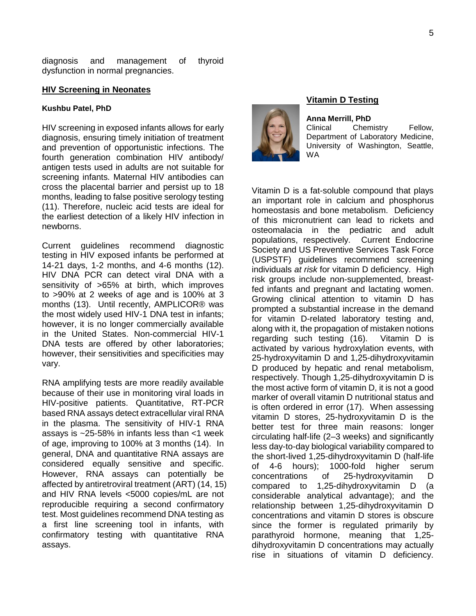diagnosis and management of thyroid dysfunction in normal pregnancies.

#### **HIV Screening in Neonates**

#### **Kushbu Patel, PhD**

HIV screening in exposed infants allows for early diagnosis, ensuring timely initiation of treatment and prevention of opportunistic infections. The fourth generation combination HIV antibody/ antigen tests used in adults are not suitable for screening infants. Maternal HIV antibodies can cross the placental barrier and persist up to 18 months, leading to false positive serology testing (11). Therefore, nucleic acid tests are ideal for the earliest detection of a likely HIV infection in newborns.

Current guidelines recommend diagnostic testing in HIV exposed infants be performed at 14-21 days, 1-2 months, and 4-6 months (12). HIV DNA PCR can detect viral DNA with a sensitivity of >65% at birth, which improves to >90% at 2 weeks of age and is 100% at 3 months (13). Until recently, AMPLICOR® was the most widely used HIV-1 DNA test in infants; however, it is no longer commercially available in the United States. Non-commercial HIV-1 DNA tests are offered by other laboratories; however, their sensitivities and specificities may vary.

RNA amplifying tests are more readily available because of their use in monitoring viral loads in HIV-positive patients. Quantitative, RT-PCR based RNA assays detect extracellular viral RNA in the plasma. The sensitivity of HIV-1 RNA assays is ~25-58% in infants less than <1 week of age, improving to 100% at 3 months (14). In general, DNA and quantitative RNA assays are considered equally sensitive and specific. However, RNA assays can potentially be affected by antiretroviral treatment (ART) (14, 15) and HIV RNA levels <5000 copies/mL are not reproducible requiring a second confirmatory test. Most guidelines recommend DNA testing as a first line screening tool in infants, with confirmatory testing with quantitative RNA assays.



#### **Vitamin D Testing**

**Anna Merrill, PhD** Clinical Chemistry Fellow, Department of Laboratory Medicine, University of Washington, Seattle, WA

Vitamin D is a fat-soluble compound that plays an important role in calcium and phosphorus homeostasis and bone metabolism. Deficiency of this micronutrient can lead to rickets and osteomalacia in the pediatric and adult populations, respectively. Current Endocrine Society and US Preventive Services Task Force (USPSTF) guidelines recommend screening individuals *at risk* for vitamin D deficiency. High risk groups include non-supplemented, breastfed infants and pregnant and lactating women. Growing clinical attention to vitamin D has prompted a substantial increase in the demand for vitamin D-related laboratory testing and, along with it, the propagation of mistaken notions regarding such testing (16). Vitamin D is activated by various hydroxylation events, with 25-hydroxyvitamin D and 1,25-dihydroxyvitamin D produced by hepatic and renal metabolism, respectively. Though 1,25-dihydroxyvitamin D is the most active form of vitamin D, it is not a good marker of overall vitamin D nutritional status and is often ordered in error (17). When assessing vitamin D stores, 25-hydroxyvitamin D is the better test for three main reasons: longer circulating half-life (2–3 weeks) and significantly less day-to-day biological variability compared to the short-lived 1,25-dihydroxyvitamin D (half-life of 4-6 hours); 1000-fold higher serum concentrations of 25-hydroxyvitamin D compared to 1,25-dihydroxyvitamin D (a considerable analytical advantage); and the relationship between 1,25-dihydroxyvitamin D concentrations and vitamin D stores is obscure since the former is regulated primarily by parathyroid hormone, meaning that 1,25 dihydroxyvitamin D concentrations may actually rise in situations of vitamin D deficiency.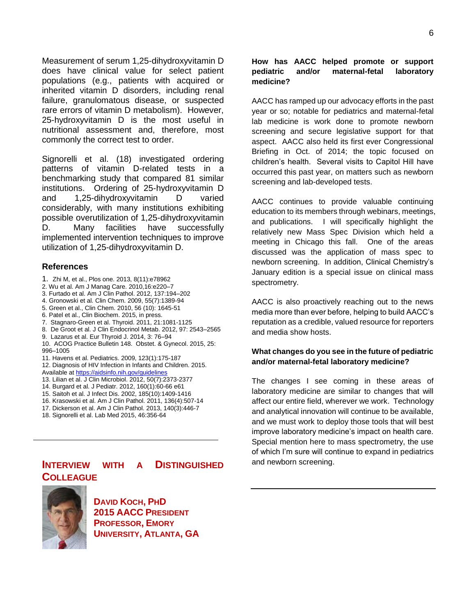<span id="page-4-0"></span>Measurement of serum 1,25-dihydroxyvitamin D does have clinical value for select patient populations (e.g., patients with acquired or inherited vitamin D disorders, including renal failure, granulomatous disease, or suspected rare errors of vitamin D metabolism). However, 25-hydroxyvitamin D is the most useful in nutritional assessment and, therefore, most commonly the correct test to order.

Signorelli et al. (18) investigated ordering patterns of vitamin D-related tests in a benchmarking study that compared 81 similar institutions. Ordering of 25-hydroxyvitamin D and 1,25-dihydroxyvitamin D varied considerably, with many institutions exhibiting possible overutilization of 1,25-dihydroxyvitamin D. Many facilities have successfully implemented intervention techniques to improve utilization of 1,25-dihydroxyvitamin D.

#### **References**

- 1. Zhi M, et al., Plos one. 2013, 8(11):e78962
- 2. Wu et al. Am J Manag Care. 2010,16:e220–7
- 3. Furtado et al. Am J Clin Pathol. 2012, 137:194–202
- 4. Gronowski et al. Clin Chem. 2009, 55(7):1389-94
- 5. Green et al., Clin Chem. 2010, 56 (10): 1645-51
- 6. Patel et al., Clin Biochem. 2015, in press.
- 7. Stagnaro-Green et al. Thyroid. 2011, 21:1081-1125
- 8. De Groot et al. J Clin Endocrinol Metab. 2012, 97: 2543–2565
- 9. Lazarus et al. Eur Thyroid J. 2014, 3: 76–94
- 10. ACOG Practice Bulletin 148. Obstet. & Gynecol. 2015, 25: 996–1005
- 11. Havens et al. Pediatrics. 2009, 123(1):175-187
- 12. Diagnosis of HIV Infection in Infants and Children. 2015. Available a[t https://aidsinfo.nih.gov/guidelines](https://aidsinfo.nih.gov/guidelines)
- 13. Lilian et al. J Clin Microbiol. 2012, 50(7):2373-2377
- 14. Burgard et al. J Pediatr. 2012, 160(1):60-66 e61
- 15. Saitoh et al. J Infect Dis. 2002, 185(10):1409-1416
- 16. Krasowski et al. Am J Clin Pathol. 2011, 136(4):507-14
- 17. Dickerson et al. Am J Clin Pathol. 2013, 140(3):446-7
- 18. Signorelli et al. Lab Med 2015, 46:356-64

## **INTERVIEW WITH A DISTINGUISHED COLLEAGUE**



**DAVID KOCH, PHD 2015 AACC PRESIDENT PROFESSOR, EMORY UNIVERSITY, ATLANTA, GA**

#### **How has AACC helped promote or support pediatric and/or maternal-fetal laboratory medicine?**

AACC has ramped up our advocacy efforts in the past year or so; notable for pediatrics and maternal-fetal lab medicine is work done to promote newborn screening and secure legislative support for that aspect. AACC also held its first ever Congressional Briefing in Oct. of 2014; the topic focused on children's health. Several visits to Capitol Hill have occurred this past year, on matters such as newborn screening and lab-developed tests.

AACC continues to provide valuable continuing education to its members through webinars, meetings, and publications. I will specifically highlight the relatively new Mass Spec Division which held a meeting in Chicago this fall. One of the areas discussed was the application of mass spec to newborn screening. In addition, Clinical Chemistry's January edition is a special issue on clinical mass spectrometry.

AACC is also proactively reaching out to the news media more than ever before, helping to build AACC's reputation as a credible, valued resource for reporters and media show hosts.

#### **What changes do you see in the future of pediatric and/or maternal-fetal laboratory medicine?**

The changes I see coming in these areas of laboratory medicine are similar to changes that will affect our entire field, wherever we work. Technology and analytical innovation will continue to be available, and we must work to deploy those tools that will best improve laboratory medicine's impact on health care. Special mention here to mass spectrometry, the use of which I'm sure will continue to expand in pediatrics and newborn screening.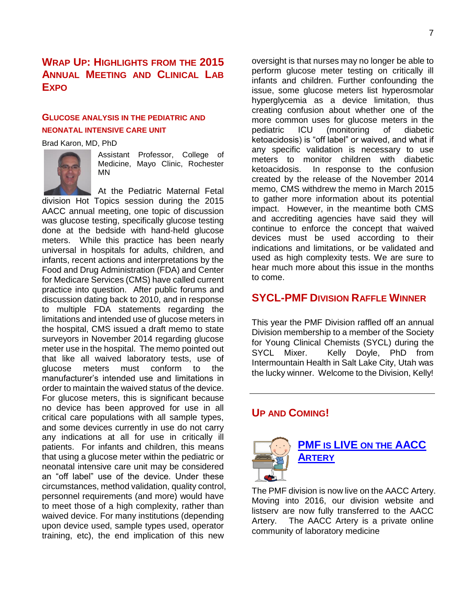## <span id="page-5-0"></span>**WRAP UP: HIGHLIGHTS FROM THE 2015 ANNUAL MEETING AND CLINICAL LAB EXPO**

## **GLUCOSE ANALYSIS IN THE PEDIATRIC AND NEONATAL INTENSIVE CARE UNIT**

Brad Karon, MD, PhD



Assistant Professor, College of Medicine, Mayo Clinic, Rochester MN

At the Pediatric Maternal Fetal division Hot Topics session during the 2015 AACC annual meeting, one topic of discussion was glucose testing, specifically glucose testing done at the bedside with hand-held glucose meters. While this practice has been nearly universal in hospitals for adults, children, and infants, recent actions and interpretations by the Food and Drug Administration (FDA) and Center for Medicare Services (CMS) have called current practice into question. After public forums and discussion dating back to 2010, and in response to multiple FDA statements regarding the limitations and intended use of glucose meters in the hospital, CMS issued a draft memo to state surveyors in November 2014 regarding glucose meter use in the hospital. The memo pointed out that like all waived laboratory tests, use of glucose meters must conform to the manufacturer's intended use and limitations in order to maintain the waived status of the device. For glucose meters, this is significant because no device has been approved for use in all critical care populations with all sample types, and some devices currently in use do not carry any indications at all for use in critically ill patients. For infants and children, this means that using a glucose meter within the pediatric or neonatal intensive care unit may be considered an "off label" use of the device. Under these circumstances, method validation, quality control, personnel requirements (and more) would have to meet those of a high complexity, rather than waived device. For many institutions (depending upon device used, sample types used, operator training, etc), the end implication of this new

oversight is that nurses may no longer be able to perform glucose meter testing on critically ill infants and children. Further confounding the issue, some glucose meters list hyperosmolar hyperglycemia as a device limitation, thus creating confusion about whether one of the more common uses for glucose meters in the pediatric ICU (monitoring of diabetic ketoacidosis) is "off label" or waived, and what if any specific validation is necessary to use meters to monitor children with diabetic ketoacidosis. In response to the confusion created by the release of the November 2014 memo, CMS withdrew the memo in March 2015 to gather more information about its potential impact. However, in the meantime both CMS and accrediting agencies have said they will continue to enforce the concept that waived devices must be used according to their indications and limitations, or be validated and used as high complexity tests. We are sure to hear much more about this issue in the months to come.

## <span id="page-5-1"></span>**SYCL-PMF DIVISION RAFFLE WINNER**

This year the PMF Division raffled off an annual Division membership to a member of the Society for Young Clinical Chemists (SYCL) during the SYCL Mixer. Kelly Doyle, PhD from Intermountain Health in Salt Lake City, Utah was the lucky winner. Welcome to the Division, Kelly!

## **UP AND COMING!**



<span id="page-5-2"></span>**PMF IS LIVE ON THE [AACC](https://community.aacc.org/divisions/pmf/) A[RTERY](https://community.aacc.org/divisions/pmf/)**

The PMF division is now live on the AACC Artery. Moving into 2016, our division website and listserv are now fully transferred to the AACC Artery. The AACC Artery is a private online community of laboratory medicine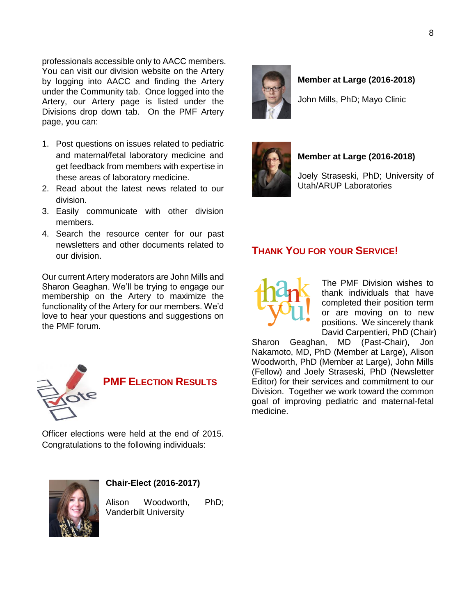professionals accessible only to AACC members. You can visit our division website on the Artery by logging into AACC and finding the Artery under the Community tab. Once logged into the Artery, our Artery page is listed under the Divisions drop down tab. On the PMF Artery page, you can:

- 1. Post questions on issues related to pediatric and maternal/fetal laboratory medicine and get feedback from members with expertise in these areas of laboratory medicine.
- 2. Read about the latest news related to our division.
- 3. Easily communicate with other division members.
- 4. Search the resource center for our past newsletters and other documents related to our division.

Our current Artery moderators are John Mills and Sharon Geaghan. We'll be trying to engage our membership on the Artery to maximize the functionality of the Artery for our members. We'd love to hear your questions and suggestions on the PMF forum.



<span id="page-6-0"></span>**PMF ELECTION RESULTS**

Officer elections were held at the end of 2015. Congratulations to the following individuals:



### **Chair-Elect (2016-2017)**

Alison Woodworth, PhD; Vanderbilt University



### **Member at Large (2016-2018)**

John Mills, PhD; Mayo Clinic



### **Member at Large (2016-2018)**

Joely Straseski, PhD; University of Utah/ARUP Laboratories

## <span id="page-6-1"></span>**THANK YOU FOR YOUR SERVICE!**

The PMF Division wishes to thank individuals that have completed their position term or are moving on to new positions. We sincerely thank David Carpentieri, PhD (Chair)

Sharon Geaghan, MD (Past-Chair), Jon Nakamoto, MD, PhD (Member at Large), Alison Woodworth, PhD (Member at Large), John Mills (Fellow) and Joely Straseski, PhD (Newsletter Editor) for their services and commitment to our Division. Together we work toward the common goal of improving pediatric and maternal-fetal medicine.